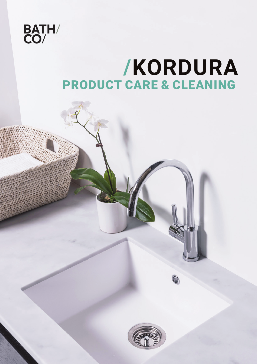

# **/KORDURA** PRODUCT CARE & CLEANING

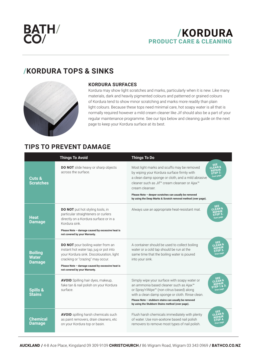BATH/<br>CO/

## **/KORDURA**  PRODUCT CARE & CLEANING

# **/KORDURA TOPS & SINKS**



### **KORDURA SURFACES**

Kordura may show light scratches and marks, particularly when it is new. Like many materials, dark and heavily pigmented colours and patterned or grained colours of Kordura tend to show minor scratching and marks more readily than plain light colours. Because these tops need minimal care, hot soapy water is all that is normally required however a mild cream cleaner like Jif should also be a part of your regular maintenance programme. See our tips below and cleaning guide on the next page to keep your Kordura surface at its best.

## **TIPS TO PREVENT DAMAGE**

|                                                 | <b>Things To Avoid</b>                                                                                                                                                                                                                           | <b>Things To Do</b>                                                                                                                                                                                                                                                                                                                                                                                                                    |
|-------------------------------------------------|--------------------------------------------------------------------------------------------------------------------------------------------------------------------------------------------------------------------------------------------------|----------------------------------------------------------------------------------------------------------------------------------------------------------------------------------------------------------------------------------------------------------------------------------------------------------------------------------------------------------------------------------------------------------------------------------------|
| Cuts &<br><b>Scratches</b>                      | DO NOT slide heavy or sharp objects<br>across the surface.                                                                                                                                                                                       | <b>SEE</b><br>Most light marks and scuffs may be removed<br>CLEAN &<br>REPAIR<br>by wiping your Kordura surface firmly with<br>STEP <sub>2</sub><br>Over page<br>a clean damp sponge or cloth, and a mild abrasive<br>cleaner such as Jif <sup>™</sup> cream cleanser or Ajax <sup>™</sup><br>cream cleanser<br>Please Note - deeper scratches can usually be removed<br>by using the Deep Marks & Scratch removal method (over page). |
| <b>Heat</b><br><b>Damage</b>                    | <b>DO NOT</b> put hot styling tools, in<br>particular straighteners or curlers<br>directly on a Kordura surface or in a<br>Kordura sink.<br>Please Note - damage caused by excessive heat is<br>not covered by your Warranty.                    | SEE<br>$C$ LEAN 8<br>Always use an appropriate heat-resistant mat.<br>REPAIR<br>STEP <sub>3</sub><br>Over page                                                                                                                                                                                                                                                                                                                         |
| <b>Boiling</b><br><b>Water</b><br><b>Damage</b> | DO NOT pour boiling water from an<br>instant hot water tap, jug or pot into<br>your Kordura sink. Discolouration, light<br>cracking or "crazing" may occur.<br>Please Note - damage caused by excessive heat is<br>not covered by your Warranty. | <b>SEE</b><br>A container should be used to collect boiling<br>CLEAN <sub>8</sub><br>water or a cold tap should be run at the<br>тер<br>same time that the boiling water is poured<br>Over pag<br>into your sink.                                                                                                                                                                                                                      |
| <b>Spills &amp;</b><br><b>Stains</b>            | AVOID Spilling hair dyes, makeup,<br>fake tan & nail polish on your Kordura<br>surface                                                                                                                                                           | SEE<br>Simply wipe your surface with soapy water or<br><b>CLEAN</b><br>an ammonia based cleaner such as Ajax™<br>or Spray'n'Wipe™ (non citrus based) along<br>with a clean damp sponge or cloth. Rinse clean.<br>Please Note - stubborn stains can usually be removed<br>by using the Stubborn Stains method (over page).                                                                                                              |
| <b>Chemical</b><br><b>Damage</b>                | <b>AVOID</b> spilling harsh chemicals such<br>as paint removers, drain cleaners, etc.<br>on your Kordura top or basin.                                                                                                                           | SEE<br>Flush harsh chemicals immediately with plenty<br>$\overline{C}$ l EAN 8<br>of water. Use non-acetone based nail polish<br>STEP <sup>4</sup><br>Over pag<br>removers to remove most types of nail polish.                                                                                                                                                                                                                        |